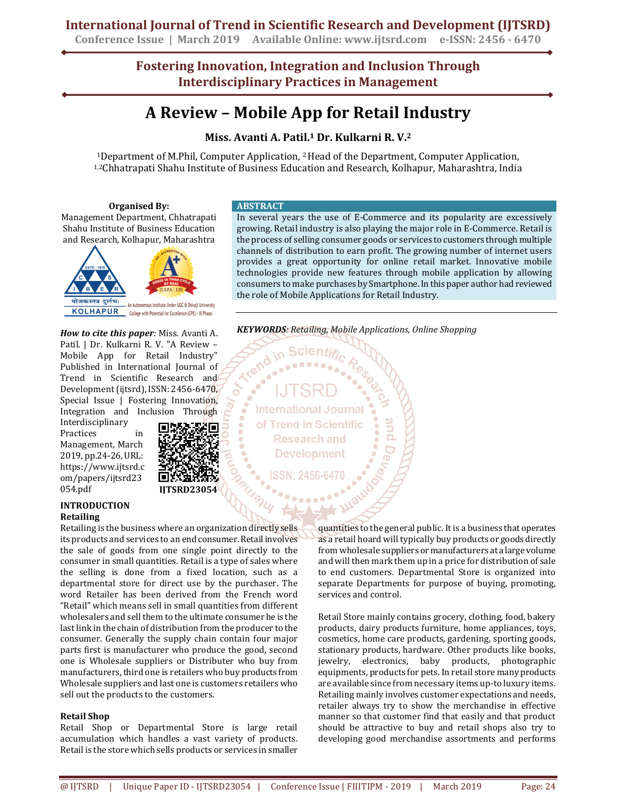## **International Journal of Trend in Scientific Research and Development (IJTSRD)**

**Conference Issue | March 2019 Available Online: www.ijtsrd.com e-ISSN: 2456 - 6470**

**Fostering Innovation, Integration and Inclusion Through Interdisciplinary Practices in Management**

# **A Review – Mobile App for Retail Industry**

### **Miss. Avanti A. Patil.1 Dr. Kulkarni R. V.<sup>2</sup>**

<sup>1</sup>Department of M.Phil, Computer Application, 2Head of the Department, Computer Application, 1,2Chhatrapati Shahu Institute of Business Education and Research, Kolhapur, Maharashtra, India

#### **Organised By:**

Management Department, Chhatrapati Shahu Institute of Business Education and Research, Kolhapur, Maharashtra



*How to cite this paper:* Miss. Avanti A. Patil. | Dr. Kulkarni R. V. "A Review – Mobile App for Retail Industry" Published in International Journal of Trend in Scientific Research and Development (ijtsrd), ISSN: 2456-6470, Special Issue | Fostering Innovation, Integration and Inclusion Through

Interdisciplinary Practices in Management, March 2019, pp.24-26, URL: https://www.ijtsrd.c om/papers/ijtsrd23 054.pdf



OF.

#### **INTRODUCTION Retailing**

Retailing is the business where an organization directly sells its products and services to an end consumer. Retail involves the sale of goods from one single point directly to the consumer in small quantities. Retail is a type of sales where the selling is done from a fixed location, such as a departmental store for direct use by the purchaser. The word Retailer has been derived from the French word "Retail" which means sell in small quantities from different wholesalers and sell them to the ultimate consumer he is the last link in the chain of distribution from the producer to the consumer. Generally the supply chain contain four major parts first is manufacturer who produce the good, second one is Wholesale suppliers or Distributer who buy from manufacturers, third one is retailers who buy products from Wholesale suppliers and last one is customers retailers who sell out the products to the customers.

#### **Retail Shop**

Retail Shop or Departmental Store is large retail accumulation which handles a vast variety of products. Retail is the store which sells products or services in smaller

#### **ABSTRACT**

In several years the use of E-Commerce and its popularity are excessively growing. Retail industry is also playing the major role in E-Commerce. Retail is the process of selling consumer goods or services to customers through multiple channels of distribution to earn profit. The growing number of internet users provides a great opportunity for online retail market. Innovative mobile technologies provide new features through mobile application by allowing consumers to make purchases by Smartphone. In this paper author had reviewed the role of Mobile Applications for Retail Industry.

*KEYWORDS: Retailing, Mobile Applications, Online Shopping* 

**International Journal** of Trend in Scientific **Research and Development** 

cientific

quantities to the general public. It is a business that operates as a retail hoard will typically buy products or goods directly from wholesale suppliers or manufacturers at a large volume and will then mark them up in a price for distribution of sale to end customers. Departmental Store is organized into separate Departments for purpose of buying, promoting, services and control.

Retail Store mainly contains grocery, clothing, food, bakery products, dairy products furniture, home appliances, toys, cosmetics, home care products, gardening, sporting goods, stationary products, hardware. Other products like books, jewelry, electronics, baby products, photographic equipments, products for pets. In retail store many products are available since from necessary items up-to luxury items. Retailing mainly involves customer expectations and needs, retailer always try to show the merchandise in effective manner so that customer find that easily and that product should be attractive to buy and retail shops also try to developing good merchandise assortments and performs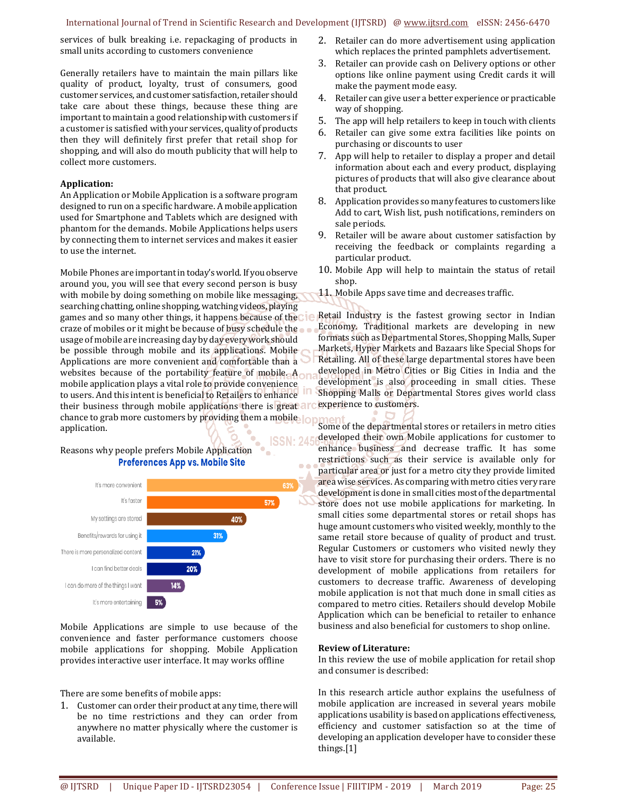#### International Journal of Trend in Scientific Research and Development (IJTSRD) @ www.ijtsrd.com eISSN: 2456-6470

í

services of bulk breaking i.e. repackaging of products in small units according to customers convenience

Generally retailers have to maintain the main pillars like quality of product, loyalty, trust of consumers, good customer services, and customer satisfaction, retailer should take care about these things, because these thing are important to maintain a good relationship with customers if a customer is satisfied with your services, quality of products then they will definitely first prefer that retail shop for shopping, and will also do mouth publicity that will help to collect more customers.

#### **Application:**

An Application or Mobile Application is a software program designed to run on a specific hardware. A mobile application used for Smartphone and Tablets which are designed with phantom for the demands. Mobile Applications helps users by connecting them to internet services and makes it easier to use the internet.

Mobile Phones are important in today's world. If you observe around you, you will see that every second person is busy with mobile by doing something on mobile like messaging, searching chatting, online shopping, watching videos, playing games and so many other things, it happens because of the craze of mobiles or it might be because of busy schedule the usage of mobile are increasing day by day every work should be possible through mobile and its applications. Mobile Applications are more convenient and comfortable than a websites because of the portability feature of mobile. A mobile application plays a vital role to provide convenience to users. And this intent is beneficial to Retailers to enhance their business through mobile applications there is great arc experience to customers. chance to grab more customers by providing them a mobile application.

Reasons why people prefers Mobile Application **Preferences App vs. Mobile Site** 



Mobile Applications are simple to use because of the convenience and faster performance customers choose mobile applications for shopping. Mobile Application provides interactive user interface. It may works offline

There are some benefits of mobile apps:

1. Customer can order their product at any time, there will be no time restrictions and they can order from anywhere no matter physically where the customer is available.

- 2. Retailer can do more advertisement using application which replaces the printed pamphlets advertisement.
- 3. Retailer can provide cash on Delivery options or other options like online payment using Credit cards it will make the payment mode easy.
- 4. Retailer can give user a better experience or practicable way of shopping.
- 5. The app will help retailers to keep in touch with clients
- 6. Retailer can give some extra facilities like points on purchasing or discounts to user
- 7. App will help to retailer to display a proper and detail information about each and every product, displaying pictures of products that will also give clearance about that product.
- 8. Application provides so many features to customers like Add to cart, Wish list, push notifications, reminders on sale periods.
- 9. Retailer will be aware about customer satisfaction by receiving the feedback or complaints regarding a particular product.
- 10. Mobile App will help to maintain the status of retail shop.
- 11. Mobile Apps save time and decreases traffic.

Retail Industry is the fastest growing sector in Indian Economy. Traditional markets are developing in new formats such as Departmental Stores, Shopping Malls, Super Markets, Hyper Markets and Bazaars like Special Shops for Retailing. All of these large departmental stores have been developed in Metro Cities or Big Cities in India and the development is also proceeding in small cities. These Shopping Malls or Departmental Stores gives world class

Some of the departmental stores or retailers in metro cities developed their own Mobile applications for customer to **ISSN: 245** enhance business and decrease traffic. It has some restrictions such as their service is available only for particular area or just for a metro city they provide limited area wise services. As comparing with metro cities very rare development is done in small cities most of the departmental store does not use mobile applications for marketing. In small cities some departmental stores or retail shops has huge amount customers who visited weekly, monthly to the same retail store because of quality of product and trust. Regular Customers or customers who visited newly they have to visit store for purchasing their orders. There is no development of mobile applications from retailers for customers to decrease traffic. Awareness of developing mobile application is not that much done in small cities as compared to metro cities. Retailers should develop Mobile Application which can be beneficial to retailer to enhance business and also beneficial for customers to shop online.

#### **Review of Literature:**

In this review the use of mobile application for retail shop and consumer is described:

In this research article author explains the usefulness of mobile application are increased in several years mobile applications usability is based on applications effectiveness, efficiency and customer satisfaction so at the time of developing an application developer have to consider these things.[1]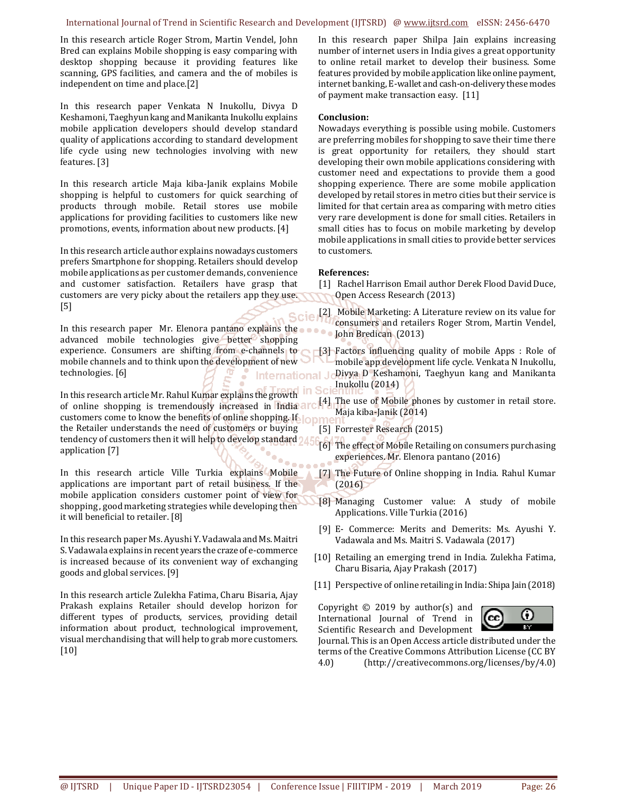#### International Journal of Trend in Scientific Research and Development (IJTSRD) @ www.ijtsrd.com eISSN: 2456-6470

In this research article Roger Strom, Martin Vendel, John Bred can explains Mobile shopping is easy comparing with desktop shopping because it providing features like scanning, GPS facilities, and camera and the of mobiles is independent on time and place.[2]

In this research paper Venkata N Inukollu, Divya D Keshamoni, Taeghyun kang and Manikanta Inukollu explains mobile application developers should develop standard quality of applications according to standard development life cycle using new technologies involving with new features. [3]

In this research article Maja kiba-Janik explains Mobile shopping is helpful to customers for quick searching of products through mobile. Retail stores use mobile applications for providing facilities to customers like new promotions, events, information about new products. [4]

In this research article author explains nowadays customers prefers Smartphone for shopping. Retailers should develop mobile applications as per customer demands, convenience and customer satisfaction. Retailers have grasp that customers are very picky about the retailers app they use. [5]

In this research paper Mr. Elenora pantano explains the advanced mobile technologies give better shopping experience. Consumers are shifting from e-channels to mobile channels and to think upon the development of new technologies. [6] International Jo

In this research article Mr. Rahul Kumar explains the growth of online shopping is tremendously increased in India customers come to know the benefits of online shopping. If the Retailer understands the need of customers or buying tendency of customers then it will help to develop standard 245 application [7]

In this research article Ville Turkia explains Mobile applications are important part of retail business. If the mobile application considers customer point of view for shopping , good marketing strategies while developing then it will beneficial to retailer. [8]

In this research paper Ms. Ayushi Y. Vadawala and Ms. Maitri S. Vadawala explains in recent years the craze of e-commerce is increased because of its convenient way of exchanging goods and global services. [9]

In this research article Zulekha Fatima, Charu Bisaria, Ajay Prakash explains Retailer should develop horizon for different types of products, services, providing detail information about product, technological improvement, visual merchandising that will help to grab more customers. [10]

In this research paper Shilpa Jain explains increasing number of internet users in India gives a great opportunity to online retail market to develop their business. Some features provided by mobile application like online payment, internet banking, E-wallet and cash-on-delivery these modes of payment make transaction easy. [11]

#### **Conclusion:**

Nowadays everything is possible using mobile. Customers are preferring mobiles for shopping to save their time there is great opportunity for retailers, they should start developing their own mobile applications considering with customer need and expectations to provide them a good shopping experience. There are some mobile application developed by retail stores in metro cities but their service is limited for that certain area as comparing with metro cities very rare development is done for small cities. Retailers in small cities has to focus on mobile marketing by develop mobile applications in small cities to provide better services to customers.

#### **References:**

- [1] Rachel Harrison Email author Derek Flood David Duce, Open Access Research (2013)
- [2] Mobile Marketing: A Literature review on its value for consumers and retailers Roger Strom, Martin Vendel, John Bredican (2013)
- [3] Factors influencing quality of mobile Apps : Role of mobile app development life cycle. Venkata N Inukollu, Divya D Keshamoni, Taeghyun kang and Manikanta Inukollu (2014)
- [4] The use of Mobile phones by customer in retail store. Maja kiba-Janik (2014)
- [5] Forrester Research (2015)
- [6] The effect of Mobile Retailing on consumers purchasing experiences. Mr. Elenora pantano (2016)
- [7] The Future of Online shopping in India. Rahul Kumar  $(2016)$
- [8] Managing Customer value: A study of mobile Applications. Ville Turkia (2016)
- [9] E- Commerce: Merits and Demerits: Ms. Ayushi Y. Vadawala and Ms. Maitri S. Vadawala (2017)
- [10] Retailing an emerging trend in India. Zulekha Fatima, Charu Bisaria, Ajay Prakash (2017)
- [11] Perspective of online retailing in India: Shipa Jain (2018)

Copyright  $\odot$  2019 by author(s) and International Journal of Trend in Scientific Research and Development



Journal. This is an Open Access article distributed under the terms of the Creative Commons Attribution License (CC BY 4.0) (http://creativecommons.org/licenses/by/4.0)